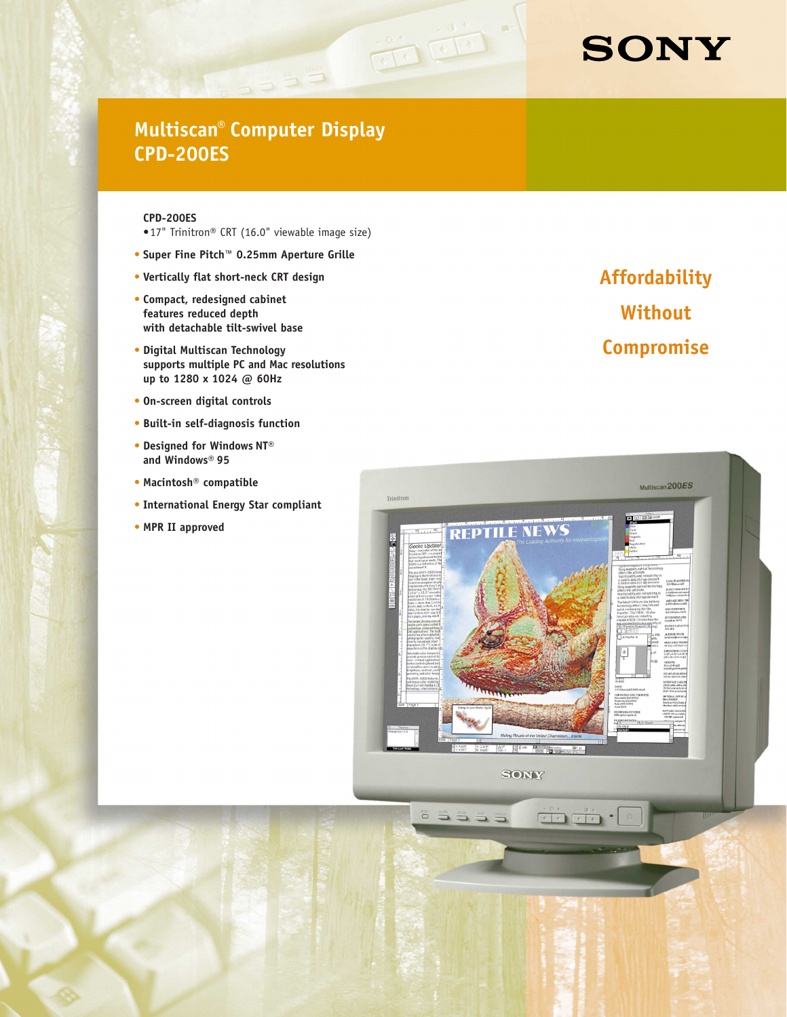# **SONY**

# **Multiscan® Computer Display CPD-200ES**

 $-555$ 

 $\frac{1}{\sqrt{1+\frac{1}{2}}}\left(\frac{1}{\sqrt{1+\frac{1}{2}}}\right)^{-\frac{1}{2}}$ 

#### **CPD-200ES**

- •17" Trinitron® CRT (16.0" viewable image size)
- **• Super Fine Pitch™ 0.25mm Aperture Grille**
- **• Vertically flat short-neck CRT design**
- **• Compact, redesigned cabinet features reduced depth with detachable tilt-swivel base**
- **• Digital Multiscan Technology supports multiple PC and Mac resolutions up to 1280 x 1024 @ 60Hz**
- **• On-screen digital controls**
- **• Built-in self-diagnosis function**
- **• Designed for Windows NT® and Windows® 95**
- **• Macintosh® compatible**
- **• International Energy Star compliant**
- **• MPR II approved**

**Affordability Without Compromise**